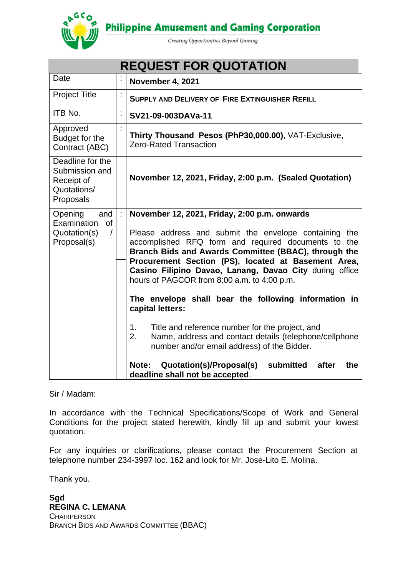**Philippine Amusement and Gaming Corporation** 



Creating Opportunities Beyond Gaming

| <b>REQUEST FOR QUOTATION</b>                                                          |          |                                                                                                                                                                                                                                                                                                                                                                                                                                                                                                                                                                                                                                                                                                                                                |  |  |  |
|---------------------------------------------------------------------------------------|----------|------------------------------------------------------------------------------------------------------------------------------------------------------------------------------------------------------------------------------------------------------------------------------------------------------------------------------------------------------------------------------------------------------------------------------------------------------------------------------------------------------------------------------------------------------------------------------------------------------------------------------------------------------------------------------------------------------------------------------------------------|--|--|--|
| Date                                                                                  |          | November 4, 2021                                                                                                                                                                                                                                                                                                                                                                                                                                                                                                                                                                                                                                                                                                                               |  |  |  |
| <b>Project Title</b>                                                                  | t        | <b>SUPPLY AND DELIVERY OF FIRE EXTINGUISHER REFILL</b>                                                                                                                                                                                                                                                                                                                                                                                                                                                                                                                                                                                                                                                                                         |  |  |  |
| ITB No.                                                                               | $\vdots$ | SV21-09-003DAVa-11                                                                                                                                                                                                                                                                                                                                                                                                                                                                                                                                                                                                                                                                                                                             |  |  |  |
| Approved<br>Budget for the<br>Contract (ABC)                                          |          | Thirty Thousand Pesos (PhP30,000.00), VAT-Exclusive,<br><b>Zero-Rated Transaction</b>                                                                                                                                                                                                                                                                                                                                                                                                                                                                                                                                                                                                                                                          |  |  |  |
| Deadline for the<br>Submission and<br>Receipt of<br>Quotations/<br>Proposals          |          | November 12, 2021, Friday, 2:00 p.m. (Sealed Quotation)                                                                                                                                                                                                                                                                                                                                                                                                                                                                                                                                                                                                                                                                                        |  |  |  |
| and<br>Opening<br>Examination<br><b>of</b><br>Quotation(s)<br>$\prime$<br>Proposal(s) |          | November 12, 2021, Friday, 2:00 p.m. onwards<br>Please address and submit the envelope containing the<br>accomplished RFQ form and required documents to the<br>Branch Bids and Awards Committee (BBAC), through the<br>Procurement Section (PS), located at Basement Area,<br>Casino Filipino Davao, Lanang, Davao City during office<br>hours of PAGCOR from 8:00 a.m. to 4:00 p.m.<br>The envelope shall bear the following information in<br>capital letters:<br>1.<br>Title and reference number for the project, and<br>Name, address and contact details (telephone/cellphone<br>2.<br>number and/or email address) of the Bidder.<br>Quotation(s)/Proposal(s)<br>submitted<br>Note:<br>after<br>the<br>deadline shall not be accepted. |  |  |  |

Sir / Madam:

In accordance with the Technical Specifications/Scope of Work and General Conditions for the project stated herewith, kindly fill up and submit your lowest quotation.

For any inquiries or clarifications, please contact the Procurement Section at telephone number 234-3997 loc. 162 and look for Mr. Jose-Lito E. Molina.

Thank you.

**Sgd REGINA C. LEMANA CHAIRPERSON** BRANCH BIDS AND AWARDS COMMITTEE (BBAC)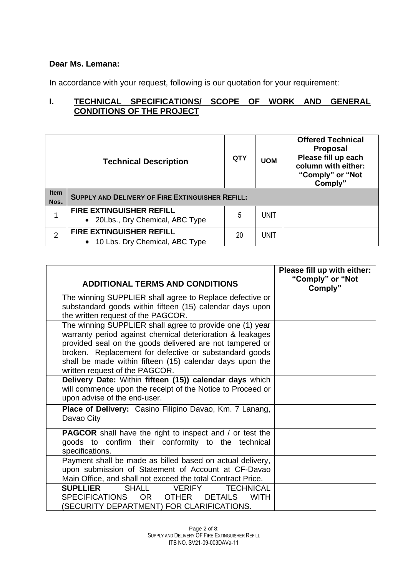## **Dear Ms. Lemana:**

In accordance with your request, following is our quotation for your requirement:

# **I. TECHNICAL SPECIFICATIONS/ SCOPE OF WORK AND GENERAL CONDITIONS OF THE PROJECT**

|                     | <b>Technical Description</b>                                        | <b>QTY</b> | <b>UOM</b> | <b>Offered Technical</b><br><b>Proposal</b><br>Please fill up each<br>column with either:<br>"Comply" or "Not<br>Comply" |
|---------------------|---------------------------------------------------------------------|------------|------------|--------------------------------------------------------------------------------------------------------------------------|
| <b>Item</b><br>Nos. | <b>SUPPLY AND DELIVERY OF FIRE EXTINGUISHER REFILL:</b>             |            |            |                                                                                                                          |
|                     | <b>FIRE EXTINGUISHER REFILL</b><br>• 20Lbs., Dry Chemical, ABC Type | 5          | unit       |                                                                                                                          |
|                     | <b>FIRE EXTINGUISHER REFILL</b><br>• 10 Lbs. Dry Chemical, ABC Type | 20         | unit       |                                                                                                                          |

| <b>ADDITIONAL TERMS AND CONDITIONS</b>                                                                                                                                                                                                                                                                                                    | Please fill up with either:<br>"Comply" or "Not<br>Comply" |
|-------------------------------------------------------------------------------------------------------------------------------------------------------------------------------------------------------------------------------------------------------------------------------------------------------------------------------------------|------------------------------------------------------------|
| The winning SUPPLIER shall agree to Replace defective or<br>substandard goods within fifteen (15) calendar days upon<br>the written request of the PAGCOR.                                                                                                                                                                                |                                                            |
| The winning SUPPLIER shall agree to provide one (1) year<br>warranty period against chemical deterioration & leakages<br>provided seal on the goods delivered are not tampered or<br>broken. Replacement for defective or substandard goods<br>shall be made within fifteen (15) calendar days upon the<br>written request of the PAGCOR. |                                                            |
| Delivery Date: Within fifteen (15)) calendar days which<br>will commence upon the receipt of the Notice to Proceed or<br>upon advise of the end-user.                                                                                                                                                                                     |                                                            |
| Place of Delivery: Casino Filipino Davao, Km. 7 Lanang,<br>Davao City                                                                                                                                                                                                                                                                     |                                                            |
| <b>PAGCOR</b> shall have the right to inspect and / or test the<br>goods to confirm their conformity to the technical<br>specifications.                                                                                                                                                                                                  |                                                            |
| Payment shall be made as billed based on actual delivery,<br>upon submission of Statement of Account at CF-Davao<br>Main Office, and shall not exceed the total Contract Price.                                                                                                                                                           |                                                            |
| <b>SUPLLIER</b><br>SHALL<br><b>VERIFY</b><br><b>TECHNICAL</b><br>SPECIFICATIONS OR OTHER<br><b>DETAILS</b><br><b>WITH</b><br>(SECURITY DEPARTMENT) FOR CLARIFICATIONS.                                                                                                                                                                    |                                                            |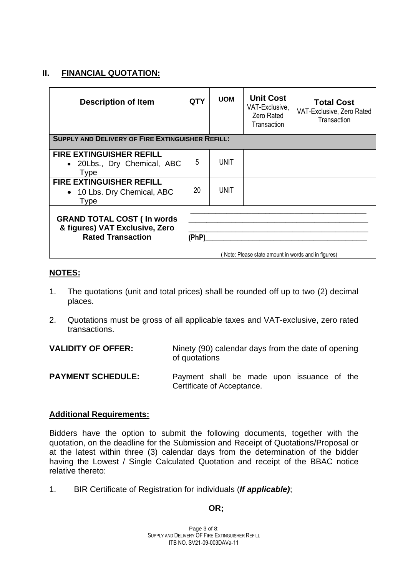## **II. FINANCIAL QUOTATION:**

| <b>Description of Item</b>                                                                       | <b>QTY</b> | <b>UOM</b>  | <b>Unit Cost</b><br>VAT-Exclusive,<br>Zero Rated<br>Transaction | <b>Total Cost</b><br>VAT-Exclusive, Zero Rated<br>Transaction |
|--------------------------------------------------------------------------------------------------|------------|-------------|-----------------------------------------------------------------|---------------------------------------------------------------|
| <b>SUPPLY AND DELIVERY OF FIRE EXTINGUISHER REFILL:</b>                                          |            |             |                                                                 |                                                               |
| <b>FIRE EXTINGUISHER REFILL</b><br>• 20Lbs., Dry Chemical, ABC<br><b>Type</b>                    | 5          | UNIT        |                                                                 |                                                               |
| <b>FIRE EXTINGUISHER REFILL</b><br>• 10 Lbs. Dry Chemical, ABC<br><b>Type</b>                    | 20         | <b>UNIT</b> |                                                                 |                                                               |
| <b>GRAND TOTAL COST (In words)</b><br>& figures) VAT Exclusive, Zero<br><b>Rated Transaction</b> | (PhP)      |             | Note: Please state amount in words and in figures)              |                                                               |

# **NOTES:**

- 1. The quotations (unit and total prices) shall be rounded off up to two (2) decimal places.
- 2. Quotations must be gross of all applicable taxes and VAT-exclusive, zero rated transactions.

**VALIDITY OF OFFER:** Ninety (90) calendar days from the date of opening of quotations

**PAYMENT SCHEDULE:** Payment shall be made upon issuance of the Certificate of Acceptance.

#### **Additional Requirements:**

Bidders have the option to submit the following documents, together with the quotation, on the deadline for the Submission and Receipt of Quotations/Proposal or at the latest within three (3) calendar days from the determination of the bidder having the Lowest / Single Calculated Quotation and receipt of the BBAC notice relative thereto:

1. BIR Certificate of Registration for individuals (*If applicable)*;

# **OR;**

Page 3 of 8: SUPPLY AND DELIVERY OF FIRE EXTINGUISHER REFILL ITB NO. SV21-09-003DAVa-11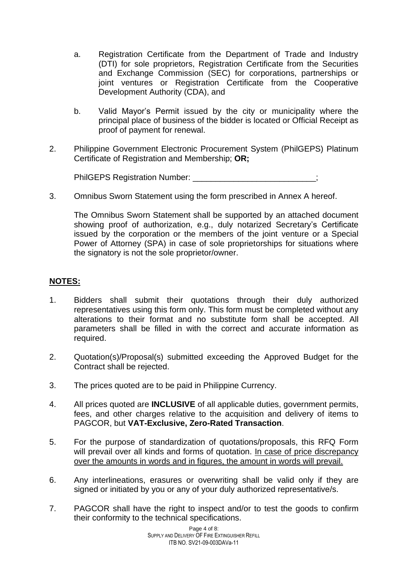- a. Registration Certificate from the Department of Trade and Industry (DTI) for sole proprietors, Registration Certificate from the Securities and Exchange Commission (SEC) for corporations, partnerships or joint ventures or Registration Certificate from the Cooperative Development Authority (CDA), and
- b. Valid Mayor's Permit issued by the city or municipality where the principal place of business of the bidder is located or Official Receipt as proof of payment for renewal.
- 2. Philippine Government Electronic Procurement System (PhilGEPS) Platinum Certificate of Registration and Membership; **OR;**

PhilGEPS Registration Number:

3. Omnibus Sworn Statement using the form prescribed in Annex A hereof.

The Omnibus Sworn Statement shall be supported by an attached document showing proof of authorization, e.g., duly notarized Secretary's Certificate issued by the corporation or the members of the joint venture or a Special Power of Attorney (SPA) in case of sole proprietorships for situations where the signatory is not the sole proprietor/owner.

## **NOTES:**

- 1. Bidders shall submit their quotations through their duly authorized representatives using this form only. This form must be completed without any alterations to their format and no substitute form shall be accepted. All parameters shall be filled in with the correct and accurate information as required.
- 2. Quotation(s)/Proposal(s) submitted exceeding the Approved Budget for the Contract shall be rejected.
- 3. The prices quoted are to be paid in Philippine Currency.
- 4. All prices quoted are **INCLUSIVE** of all applicable duties, government permits, fees, and other charges relative to the acquisition and delivery of items to PAGCOR, but **VAT-Exclusive, Zero-Rated Transaction**.
- 5. For the purpose of standardization of quotations/proposals, this RFQ Form will prevail over all kinds and forms of quotation. In case of price discrepancy over the amounts in words and in figures, the amount in words will prevail.
- 6. Any interlineations, erasures or overwriting shall be valid only if they are signed or initiated by you or any of your duly authorized representative/s.
- 7. PAGCOR shall have the right to inspect and/or to test the goods to confirm their conformity to the technical specifications.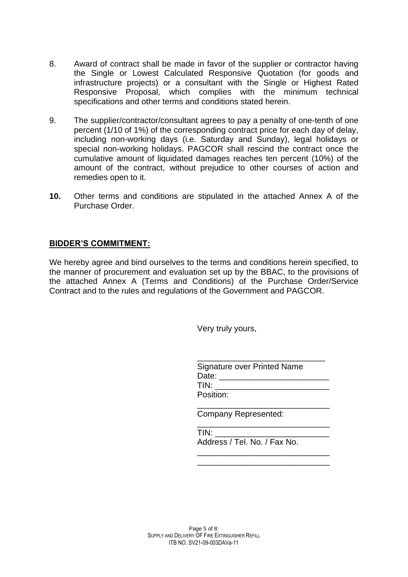- 8. Award of contract shall be made in favor of the supplier or contractor having the Single or Lowest Calculated Responsive Quotation (for goods and infrastructure projects) or a consultant with the Single or Highest Rated Responsive Proposal, which complies with the minimum technical specifications and other terms and conditions stated herein.
- 9. The supplier/contractor/consultant agrees to pay a penalty of one-tenth of one percent (1/10 of 1%) of the corresponding contract price for each day of delay, including non-working days (i.e. Saturday and Sunday), legal holidays or special non-working holidays. PAGCOR shall rescind the contract once the cumulative amount of liquidated damages reaches ten percent (10%) of the amount of the contract, without prejudice to other courses of action and remedies open to it.
- **10.** Other terms and conditions are stipulated in the attached Annex A of the Purchase Order.

# **BIDDER'S COMMITMENT:**

We hereby agree and bind ourselves to the terms and conditions herein specified, to the manner of procurement and evaluation set up by the BBAC, to the provisions of the attached Annex A (Terms and Conditions) of the Purchase Order/Service Contract and to the rules and regulations of the Government and PAGCOR.

Very truly yours,

| Signature over Printed Name |  |
|-----------------------------|--|
| Date: <b>Date</b>           |  |
| TIN:                        |  |
| Position:                   |  |

\_\_\_\_\_\_\_\_\_\_\_\_\_\_\_\_\_\_\_\_\_\_\_\_\_\_\_\_\_

\_\_\_\_\_\_\_\_\_\_\_\_\_\_\_\_\_\_\_\_\_\_\_\_\_\_\_\_\_

Company Represented:

| TIN:                         |  |
|------------------------------|--|
| Address / Tel. No. / Fax No. |  |
|                              |  |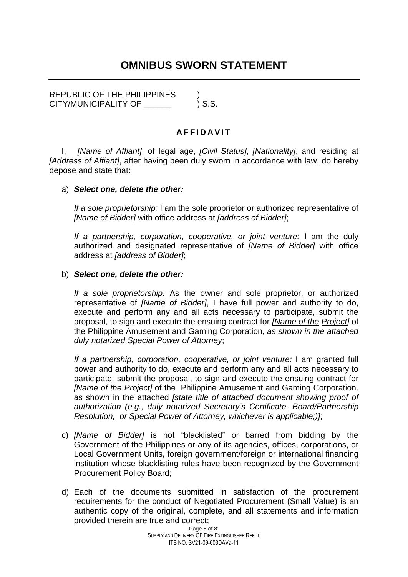# **OMNIBUS SWORN STATEMENT**

REPUBLIC OF THE PHILIPPINES  $\qquad$  ) S.S. CITY/MUNICIPALITY OF

#### **A F F I D A V I T**

I, *[Name of Affiant]*, of legal age, *[Civil Status]*, *[Nationality]*, and residing at *[Address of Affiant]*, after having been duly sworn in accordance with law, do hereby depose and state that:

#### a) *Select one, delete the other:*

*If a sole proprietorship:* I am the sole proprietor or authorized representative of *[Name of Bidder]* with office address at *[address of Bidder]*;

*If a partnership, corporation, cooperative, or joint venture:* I am the duly authorized and designated representative of *[Name of Bidder]* with office address at *[address of Bidder]*;

#### b) *Select one, delete the other:*

*If a sole proprietorship:* As the owner and sole proprietor, or authorized representative of *[Name of Bidder]*, I have full power and authority to do, execute and perform any and all acts necessary to participate, submit the proposal, to sign and execute the ensuing contract for *[Name of the Project]* of the Philippine Amusement and Gaming Corporation, *as shown in the attached duly notarized Special Power of Attorney*;

*If a partnership, corporation, cooperative, or joint venture:* I am granted full power and authority to do, execute and perform any and all acts necessary to participate, submit the proposal, to sign and execute the ensuing contract for *[Name of the Project]* of the Philippine Amusement and Gaming Corporation*,*  as shown in the attached *[state title of attached document showing proof of authorization (e.g., duly notarized Secretary's Certificate, Board/Partnership Resolution, or Special Power of Attorney, whichever is applicable;)]*;

- c) *[Name of Bidder]* is not "blacklisted" or barred from bidding by the Government of the Philippines or any of its agencies, offices, corporations, or Local Government Units, foreign government/foreign or international financing institution whose blacklisting rules have been recognized by the Government Procurement Policy Board;
- d) Each of the documents submitted in satisfaction of the procurement requirements for the conduct of Negotiated Procurement (Small Value) is an authentic copy of the original, complete, and all statements and information provided therein are true and correct;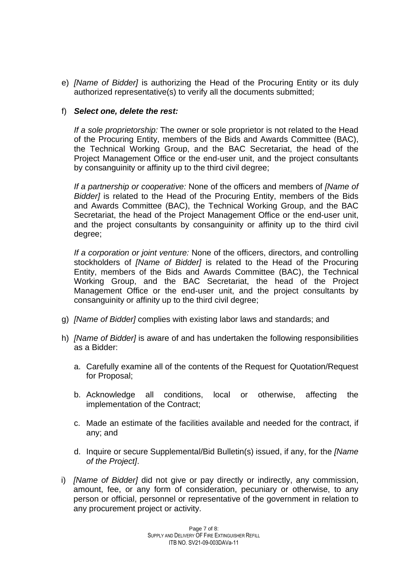e) *[Name of Bidder]* is authorizing the Head of the Procuring Entity or its duly authorized representative(s) to verify all the documents submitted;

## f) *Select one, delete the rest:*

*If a sole proprietorship:* The owner or sole proprietor is not related to the Head of the Procuring Entity, members of the Bids and Awards Committee (BAC), the Technical Working Group, and the BAC Secretariat, the head of the Project Management Office or the end-user unit, and the project consultants by consanguinity or affinity up to the third civil degree;

*If a partnership or cooperative:* None of the officers and members of *[Name of Bidder]* is related to the Head of the Procuring Entity, members of the Bids and Awards Committee (BAC), the Technical Working Group, and the BAC Secretariat, the head of the Project Management Office or the end-user unit, and the project consultants by consanguinity or affinity up to the third civil degree;

*If a corporation or joint venture:* None of the officers, directors, and controlling stockholders of *[Name of Bidder]* is related to the Head of the Procuring Entity, members of the Bids and Awards Committee (BAC), the Technical Working Group, and the BAC Secretariat, the head of the Project Management Office or the end-user unit, and the project consultants by consanguinity or affinity up to the third civil degree;

- g) *[Name of Bidder]* complies with existing labor laws and standards; and
- h) *[Name of Bidder]* is aware of and has undertaken the following responsibilities as a Bidder:
	- a. Carefully examine all of the contents of the Request for Quotation/Request for Proposal;
	- b. Acknowledge all conditions, local or otherwise, affecting the implementation of the Contract;
	- c. Made an estimate of the facilities available and needed for the contract, if any; and
	- d. Inquire or secure Supplemental/Bid Bulletin(s) issued, if any, for the *[Name of the Project]*.
- i) *[Name of Bidder]* did not give or pay directly or indirectly, any commission, amount, fee, or any form of consideration, pecuniary or otherwise, to any person or official, personnel or representative of the government in relation to any procurement project or activity.